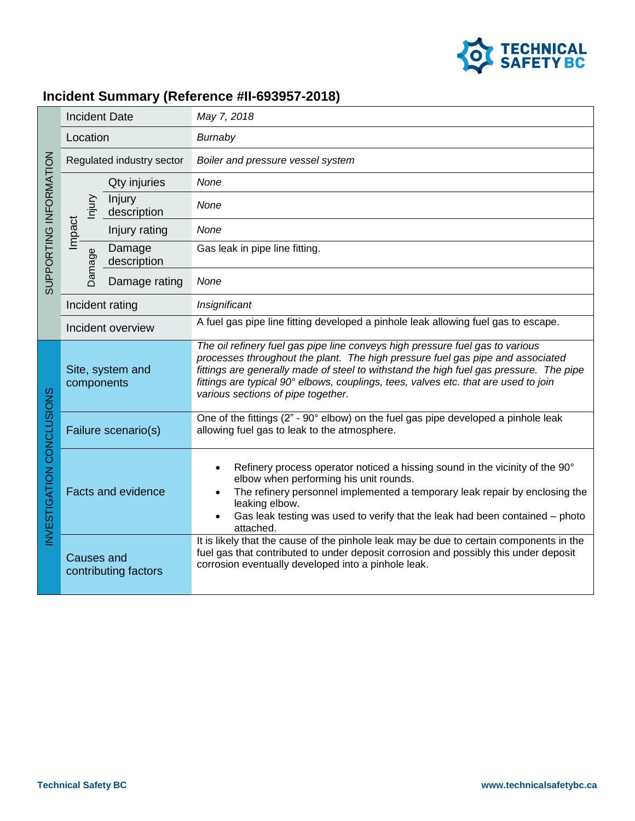

## **Incident Summary (Reference #II-693957-2018)**

| SUPPORTING INFORMATION   | <b>Incident Date</b>                      |                       | May 7, 2018                                                                                                                                                                                                                                                                                                                                                                            |
|--------------------------|-------------------------------------------|-----------------------|----------------------------------------------------------------------------------------------------------------------------------------------------------------------------------------------------------------------------------------------------------------------------------------------------------------------------------------------------------------------------------------|
|                          | Location                                  |                       | Burnaby                                                                                                                                                                                                                                                                                                                                                                                |
|                          | Regulated industry sector                 |                       | Boiler and pressure vessel system                                                                                                                                                                                                                                                                                                                                                      |
|                          | njury                                     | Qty injuries          | None                                                                                                                                                                                                                                                                                                                                                                                   |
|                          |                                           | Injury<br>description | None                                                                                                                                                                                                                                                                                                                                                                                   |
|                          | Impact                                    | Injury rating         | None                                                                                                                                                                                                                                                                                                                                                                                   |
|                          | Damage                                    | Damage<br>description | Gas leak in pipe line fitting.                                                                                                                                                                                                                                                                                                                                                         |
|                          |                                           | Damage rating         | None                                                                                                                                                                                                                                                                                                                                                                                   |
|                          | Incident rating                           |                       | Insignificant                                                                                                                                                                                                                                                                                                                                                                          |
|                          | Incident overview                         |                       | A fuel gas pipe line fitting developed a pinhole leak allowing fuel gas to escape.                                                                                                                                                                                                                                                                                                     |
| NVESTIGATION CONCLUSIONS | Site, system and<br>components            |                       | The oil refinery fuel gas pipe line conveys high pressure fuel gas to various<br>processes throughout the plant. The high pressure fuel gas pipe and associated<br>fittings are generally made of steel to withstand the high fuel gas pressure. The pipe<br>fittings are typical 90° elbows, couplings, tees, valves etc. that are used to join<br>various sections of pipe together. |
|                          | Failure scenario(s)                       |                       | One of the fittings (2" - 90° elbow) on the fuel gas pipe developed a pinhole leak<br>allowing fuel gas to leak to the atmosphere.                                                                                                                                                                                                                                                     |
|                          | <b>Facts and evidence</b>                 |                       | Refinery process operator noticed a hissing sound in the vicinity of the 90°<br>elbow when performing his unit rounds.<br>The refinery personnel implemented a temporary leak repair by enclosing the<br>leaking elbow.<br>Gas leak testing was used to verify that the leak had been contained - photo<br>attached.                                                                   |
|                          | <b>Causes and</b><br>contributing factors |                       | It is likely that the cause of the pinhole leak may be due to certain components in the<br>fuel gas that contributed to under deposit corrosion and possibly this under deposit<br>corrosion eventually developed into a pinhole leak.                                                                                                                                                 |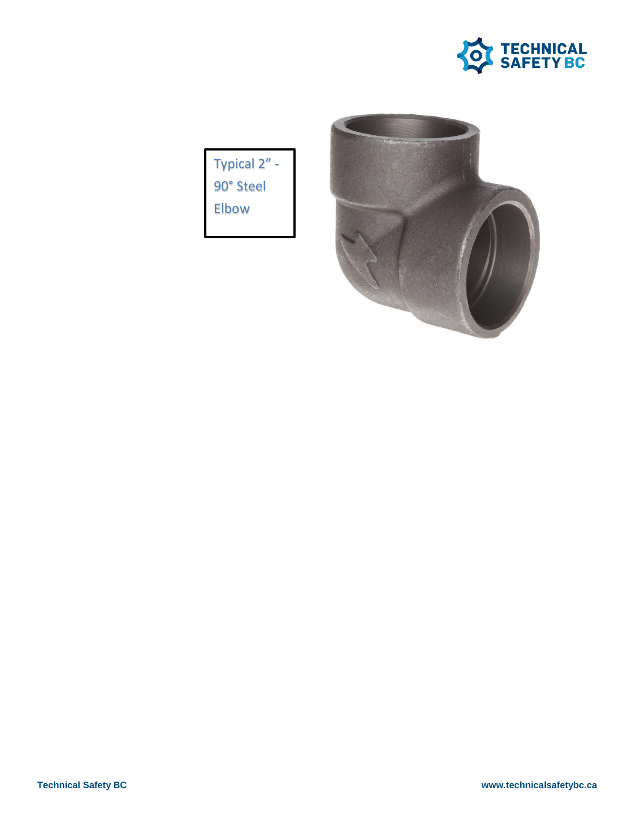

Typical 2" -90° Steel Elbow